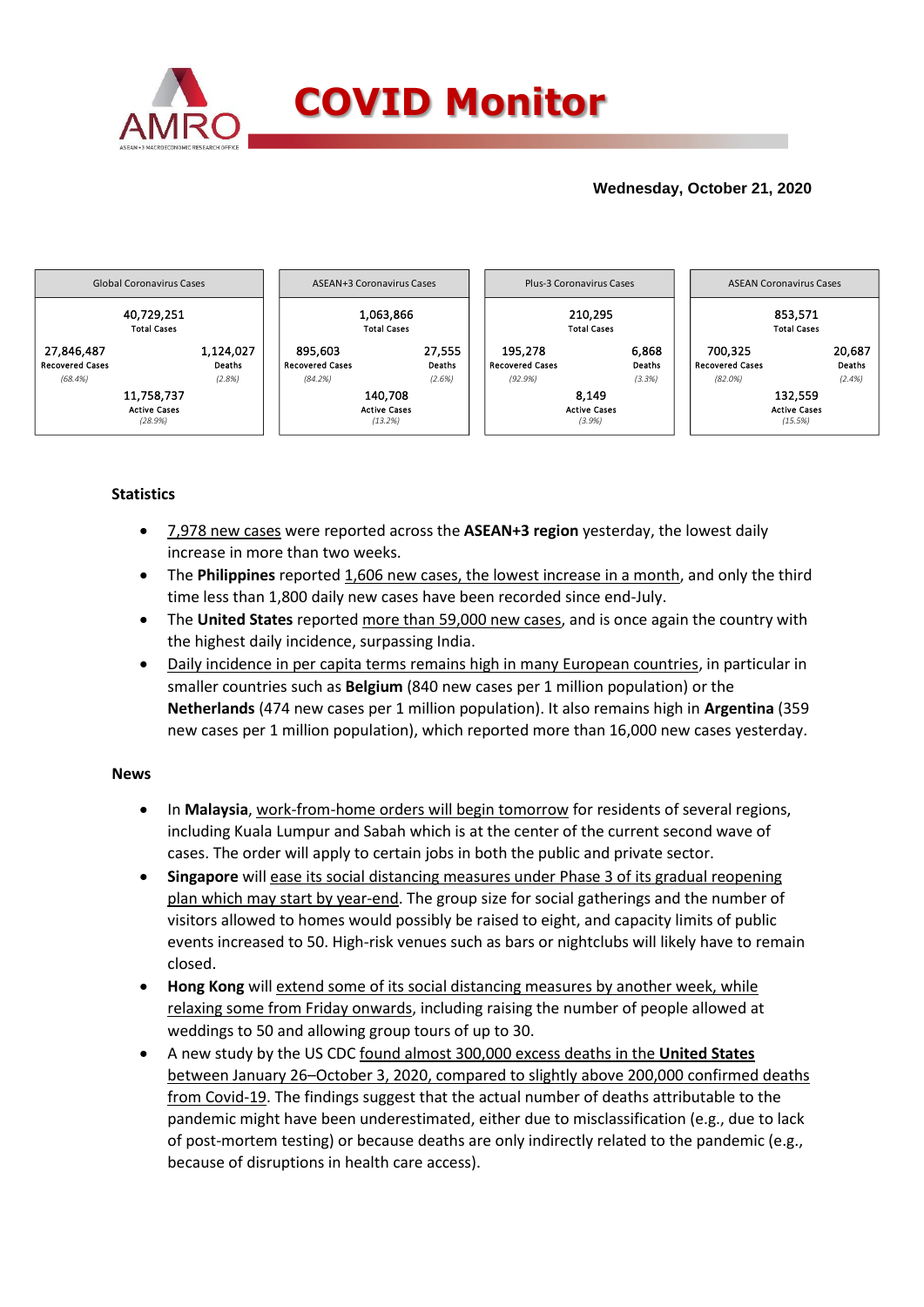

# **Wednesday, October 21, 2020**



## **Statistics**

- 7,978 new cases were reported across the **ASEAN+3 region** yesterday, the lowest daily increase in more than two weeks.
- The **Philippines** reported 1,606 new cases, the lowest increase in a month, and only the third time less than 1,800 daily new cases have been recorded since end-July.
- The **United States** reported more than 59,000 new cases, and is once again the country with the highest daily incidence, surpassing India.
- Daily incidence in per capita terms remains high in many European countries, in particular in smaller countries such as **Belgium** (840 new cases per 1 million population) or the **Netherlands** (474 new cases per 1 million population). It also remains high in **Argentina** (359 new cases per 1 million population), which reported more than 16,000 new cases yesterday.

### **News**

- In **Malaysia**, work-from-home orders will begin tomorrow for residents of several regions, including Kuala Lumpur and Sabah which is at the center of the current second wave of cases. The order will apply to certain jobs in both the public and private sector.
- **Singapore** will ease its social distancing measures under Phase 3 of its gradual reopening plan which may start by year-end. The group size for social gatherings and the number of visitors allowed to homes would possibly be raised to eight, and capacity limits of public events increased to 50. High-risk venues such as bars or nightclubs will likely have to remain closed.
- **Hong Kong** will extend some of its social distancing measures by another week, while relaxing some from Friday onwards, including raising the number of people allowed at weddings to 50 and allowing group tours of up to 30.
- A new study by the US CDC found almost 300,000 excess deaths in the **United States** between January 26–October 3, 2020, compared to slightly above 200,000 confirmed deaths from Covid-19. The findings suggest that the actual number of deaths attributable to the pandemic might have been underestimated, either due to misclassification (e.g., due to lack of post-mortem testing) or because deaths are only indirectly related to the pandemic (e.g., because of disruptions in health care access).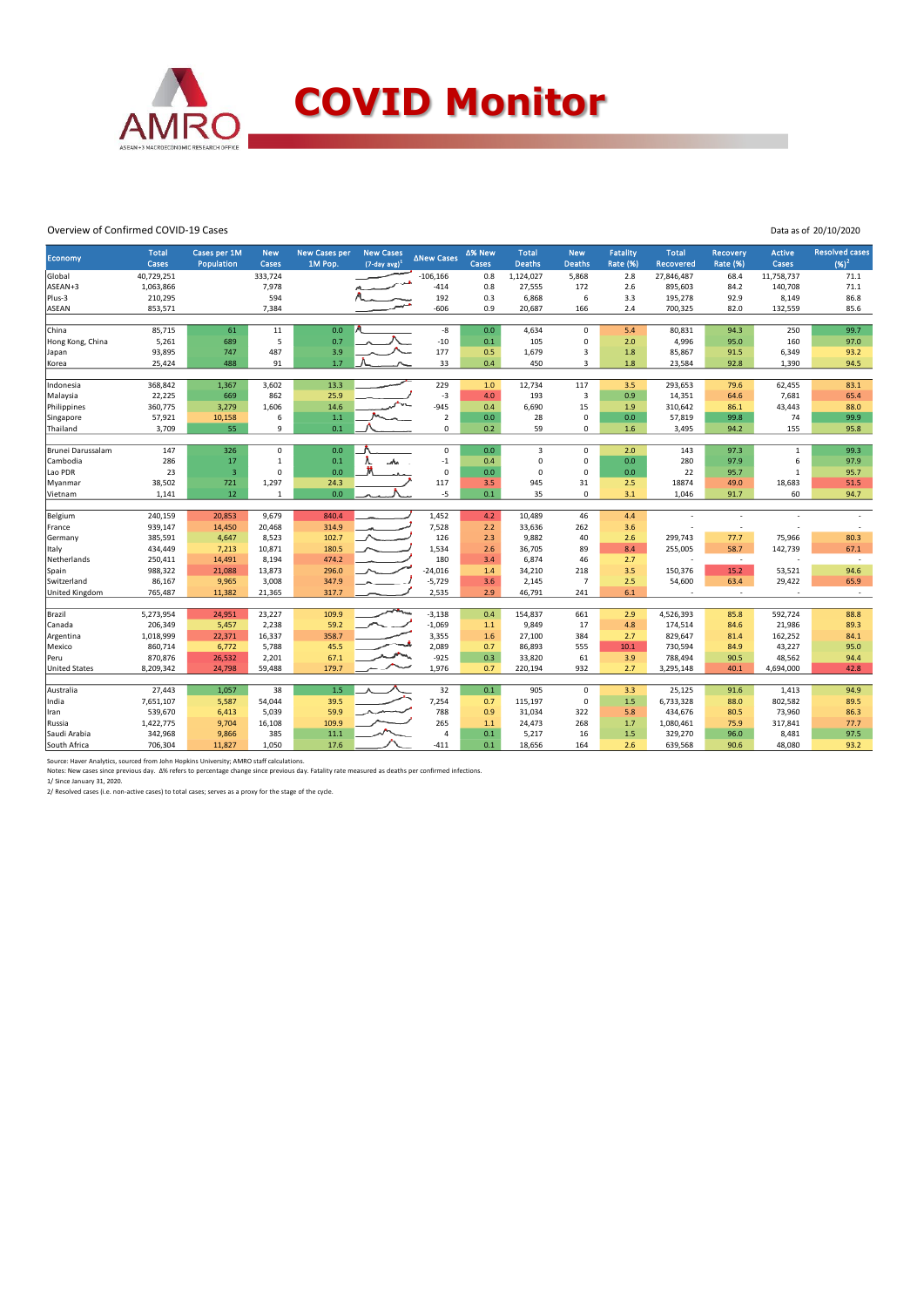

#### Overview of Confirmed COVID-19 Cases

| Data as of 20/10/2020 |
|-----------------------|
|                       |

| Economy              | <b>Total</b><br>Cases | Cases per 1M<br>Population | <b>New</b><br>Cases | <b>New Cases per</b><br>1M Pop. | <b>New Cases</b><br>$(7$ -day avg $)^1$ | ∆New Cases        | ∆% New<br>Cases | <b>Total</b><br><b>Deaths</b> | <b>New</b><br><b>Deaths</b> | Fatality<br><b>Rate (%)</b> | <b>Total</b><br>Recovered | <b>Recovery</b><br><b>Rate (%)</b> | <b>Active</b><br>Cases | <b>Resolved cases</b><br>$(96)^2$ |
|----------------------|-----------------------|----------------------------|---------------------|---------------------------------|-----------------------------------------|-------------------|-----------------|-------------------------------|-----------------------------|-----------------------------|---------------------------|------------------------------------|------------------------|-----------------------------------|
| Global               | 40,729,251            |                            | 333,724             |                                 |                                         | $-106, 166$       | 0.8             | 1,124,027                     | 5,868                       | 2.8                         | 27,846,487                | 68.4                               | 11,758,737             | 71.1                              |
| ASEAN+3              | 1,063,866             |                            | 7,978               |                                 |                                         | $-414$            | 0.8             | 27,555                        | 172                         | 2.6                         | 895,603                   | 84.2                               | 140,708                | 71.1                              |
| Plus-3               | 210,295               |                            | 594                 |                                 |                                         | 192               | 0.3             | 6,868                         | $\,$ 6 $\,$                 | 3.3                         | 195,278                   | 92.9                               | 8,149                  | 86.8                              |
| <b>ASEAN</b>         | 853,571               |                            | 7,384               |                                 |                                         | $-606$            | 0.9             | 20,687                        | 166                         | 2.4                         | 700,325                   | 82.0                               | 132,559                | 85.6                              |
|                      |                       |                            |                     |                                 |                                         |                   |                 |                               |                             |                             |                           |                                    |                        |                                   |
| China                | 85,715                | 61                         | 11                  | 0.0                             |                                         | -8                | 0.0             | 4,634                         | $\mathbf 0$                 | 5.4                         | 80,831                    | 94.3                               | 250                    | 99.7                              |
| Hong Kong, China     | 5,261                 | 689                        | 5                   | 0.7                             |                                         | $-10$             | 0.1             | 105                           | 0                           | 2.0                         | 4,996                     | 95.0                               | 160                    | 97.0                              |
| Japan                | 93,895                | 747                        | 487                 | 3.9                             |                                         | 177               | 0.5             | 1,679                         | $\overline{3}$              | 1.8                         | 85,867                    | 91.5                               | 6,349                  | 93.2                              |
| Korea                | 25,424                | 488                        | 91                  | 1.7                             |                                         | 33                | 0.4             | 450                           | $\overline{3}$              | 1.8                         | 23,584                    | 92.8                               | 1,390                  | 94.5                              |
| Indonesia            | 368,842               | 1,367                      | 3,602               | 13.3                            |                                         | 229               | $1.0$           | 12,734                        | 117                         | 3.5                         | 293,653                   | 79.6                               | 62,455                 | 83.1                              |
| Malaysia             | 22,225                | 669                        | 862                 | 25.9                            |                                         | $-3$              | 4.0             | 193                           | $\overline{\mathbf{3}}$     | 0.9                         | 14,351                    | 64.6                               | 7,681                  | 65.4                              |
| Philippines          | 360,775               | 3,279                      | 1,606               | 14.6                            |                                         | $-945$            | 0.4             | 6,690                         | 15                          | 1.9                         | 310,642                   | 86.1                               | 43,443                 | 88.0                              |
| Singapore            | 57,921                | 10,158                     | 6                   | 1.1                             |                                         | $\sqrt{2}$        | $0.0\,$         | 28                            | $\mathbf 0$                 | 0.0                         | 57,819                    | 99.8                               | 74                     | 99.9                              |
| Thailand             | 3,709                 | 55                         | 9                   | 0.1                             |                                         | $\mathbf 0$       | 0.2             | 59                            | $\Omega$                    | 1.6                         | 3,495                     | 94.2                               | 155                    | 95.8                              |
|                      |                       |                            |                     |                                 |                                         |                   |                 |                               |                             |                             |                           |                                    |                        |                                   |
| Brunei Darussalam    | 147                   | 326                        | $\mathbf 0$         | 0.0                             |                                         | $\mathbf 0$       | 0.0             | $\overline{3}$                | $\mathbf 0$                 | 2.0                         | 143                       | 97.3                               | $\mathbf{1}$           | 99.3                              |
| Cambodia             | 286                   | 17                         | 1                   | 0.1                             |                                         | $^{\rm -1}$       | 0.4             | $\mathbf 0$                   | $\mathsf 0$                 | 0.0                         | 280                       | 97.9                               | 6                      | 97.9                              |
| Lao PDR              | 23                    | $\overline{\mathbf{3}}$    | $\mathbf 0$         | 0.0                             | Ħ                                       | $\mathbf 0$       | 0.0             | $\mathbf 0$                   | $\mathbf 0$                 | 0.0                         | 22                        | 95.7                               | $\mathbf{1}$           | 95.7                              |
| Myanmar              | 38,502                | 721                        | 1,297               | 24.3                            |                                         | 117               | 3.5             | 945                           | 31                          | 2.5                         | 18874                     | 49.0                               | 18,683                 | 51.5                              |
| Vietnam              | 1,141                 | 12                         | $\mathbf{1}$        | 0.0                             |                                         | $-5$              | 0.1             | 35                            | $\mathbf 0$                 | 3.1                         | 1,046                     | 91.7                               | 60                     | 94.7                              |
| Belgium              | 240,159               | 20,853                     | 9,679               | 840.4                           |                                         | 1,452             | 4.2             | 10,489                        | 46                          | 4.4                         |                           |                                    |                        |                                   |
| France               | 939,147               | 14,450                     | 20,468              | 314.9                           |                                         | 7,528             | 2.2             | 33,636                        | 262                         | 3.6                         |                           | $\overline{\phantom{a}}$           |                        | $\overline{\phantom{a}}$          |
| Germany              | 385,591               | 4,647                      | 8,523               | 102.7                           |                                         | 126               | 2.3             | 9,882                         | 40                          | 2.6                         | 299,743                   | 77.7                               | 75,966                 | 80.3                              |
| Italy                | 434,449               | 7,213                      | 10,871              | 180.5                           |                                         | 1,534             | 2.6             | 36,705                        | 89                          | 8.4                         | 255,005                   | 58.7                               | 142,739                | 67.1                              |
| Netherlands          | 250,411               | 14,491                     | 8,194               | 474.2                           |                                         | 180               | 3.4             | 6,874                         | 46                          | 2.7                         | ٠                         | $\overline{\phantom{a}}$           |                        | $\overline{\phantom{a}}$          |
| Spain                | 988,322               | 21,088                     | 13,873              | 296.0                           |                                         | $-24,016$         | 1.4             | 34,210                        | 218                         | 3.5                         | 150,376                   | 15.2                               | 53,521                 | 94.6                              |
| Switzerland          | 86,167                | 9,965                      | 3,008               | 347.9                           |                                         | $-5,729$          | 3.6             | 2,145                         | $\overline{7}$              | 2.5                         | 54,600                    | 63.4                               | 29,422                 | 65.9                              |
| United Kingdom       | 765,487               | 11,382                     | 21,365              | 317.7                           |                                         | 2,535             | 2.9             | 46,791                        | 241                         | 6.1                         | ٠                         | ٠                                  |                        | $\sim$                            |
|                      |                       |                            |                     |                                 |                                         |                   |                 |                               |                             |                             |                           |                                    |                        |                                   |
| Brazil               | 5,273,954             | 24,951                     | 23,227              | 109.9                           |                                         | $-3,138$          | 0.4             | 154,837                       | 661                         | 2.9                         | 4,526,393                 | 85.8                               | 592,724                | 88.8                              |
| Canada               | 206,349<br>1,018,999  | 5,457<br>22,371            | 2,238<br>16,337     | 59.2<br>358.7                   |                                         | $-1,069$<br>3,355 | $1.1$<br>1.6    | 9,849<br>27,100               | 17<br>384                   | 4.8<br>2.7                  | 174,514<br>829,647        | 84.6<br>81.4                       | 21,986<br>162,252      | 89.3<br>84.1                      |
| Argentina<br>Mexico  | 860,714               | 6,772                      | 5,788               | 45.5                            |                                         | 2,089             | 0.7             | 86,893                        | 555                         | 10.1                        | 730,594                   | 84.9                               | 43,227                 | 95.0                              |
| Peru                 | 870,876               | 26,532                     | 2,201               | 67.1                            |                                         | $-925$            | 0.3             | 33,820                        | 61                          | 3.9                         | 788,494                   | 90.5                               | 48,562                 | 94.4                              |
| <b>United States</b> | 8,209,342             | 24,798                     | 59,488              | 179.7                           |                                         | 1,976             | 0.7             | 220,194                       | 932                         | 2.7                         | 3,295,148                 | 40.1                               | 4,694,000              | 42.8                              |
|                      |                       |                            |                     |                                 |                                         |                   |                 |                               |                             |                             |                           |                                    |                        |                                   |
| Australia            | 27,443                | 1,057                      | 38                  | 1.5                             |                                         | 32                | 0.1             | 905                           | $\mathbf 0$                 | 3.3                         | 25,125                    | 91.6                               | 1,413                  | 94.9                              |
| India                | 7,651,107             | 5,587                      | 54,044              | 39.5                            |                                         | 7,254             | 0.7             | 115,197                       | $\mathbf 0$                 | 1.5                         | 6,733,328                 | 88.0                               | 802,582                | 89.5                              |
| Iran                 | 539,670               | 6,413                      | 5,039               | 59.9                            |                                         | 788               | 0.9             | 31,034                        | 322                         | 5.8                         | 434,676                   | 80.5                               | 73,960                 | 86.3                              |
| Russia               | 1,422,775             | 9,704                      | 16,108              | 109.9                           |                                         | 265               | 1.1             | 24,473                        | 268                         | 1.7                         | 1,080,461                 | 75.9                               | 317,841                | 77.7                              |
| Saudi Arabia         | 342,968               | 9,866                      | 385                 | 11.1                            |                                         | 4                 | 0.1             | 5,217                         | 16                          | 1.5                         | 329,270                   | 96.0                               | 8,481                  | 97.5                              |
| South Africa         | 706,304               | 11,827                     | 1,050               | 17.6                            |                                         | $-411$            | 0.1             | 18,656                        | 164                         | 2.6                         | 639,568                   | 90.6                               | 48,080                 | 93.2                              |

Source: Haver Analytics, sourced from John Hopkins University; AMRO staff calculations.<br>Notes: New cases since previous day. Δ% refers to percentage change since previous day. Fatality rate measured as deaths per confirme